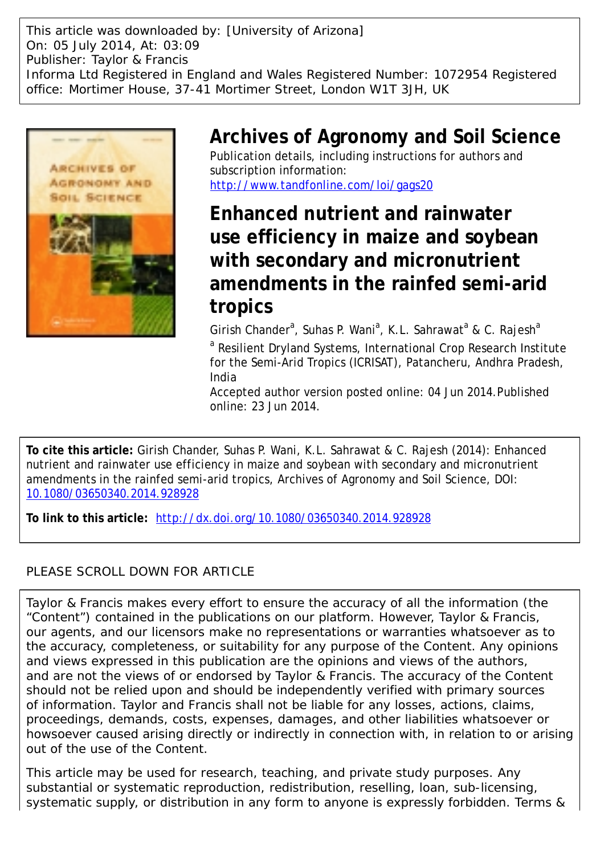This article was downloaded by: [University of Arizona] On: 05 July 2014, At: 03:09 Publisher: Taylor & Francis Informa Ltd Registered in England and Wales Registered Number: 1072954 Registered office: Mortimer House, 37-41 Mortimer Street, London W1T 3JH, UK



# **Archives of Agronomy and Soil Science**

Publication details, including instructions for authors and subscription information: <http://www.tandfonline.com/loi/gags20>

**Enhanced nutrient and rainwater use efficiency in maize and soybean with secondary and micronutrient amendments in the rainfed semi-arid tropics**

Girish Chander<sup>a</sup>, Suhas P. Wani<sup>a</sup>, K.L. Sahrawat<sup>a</sup> & C. Rajesh<sup>a</sup>

<sup>a</sup> Resilient Dryland Systems, International Crop Research Institute for the Semi-Arid Tropics (ICRISAT), Patancheru, Andhra Pradesh, India

Accepted author version posted online: 04 Jun 2014.Published online: 23 Jun 2014.

**To cite this article:** Girish Chander, Suhas P. Wani, K.L. Sahrawat & C. Rajesh (2014): Enhanced nutrient and rainwater use efficiency in maize and soybean with secondary and micronutrient amendments in the rainfed semi-arid tropics, Archives of Agronomy and Soil Science, DOI: [10.1080/03650340.2014.928928](http://www.tandfonline.com/action/showCitFormats?doi=10.1080/03650340.2014.928928)

**To link to this article:** <http://dx.doi.org/10.1080/03650340.2014.928928>

# PLEASE SCROLL DOWN FOR ARTICLE

Taylor & Francis makes every effort to ensure the accuracy of all the information (the "Content") contained in the publications on our platform. However, Taylor & Francis, our agents, and our licensors make no representations or warranties whatsoever as to the accuracy, completeness, or suitability for any purpose of the Content. Any opinions and views expressed in this publication are the opinions and views of the authors, and are not the views of or endorsed by Taylor & Francis. The accuracy of the Content should not be relied upon and should be independently verified with primary sources of information. Taylor and Francis shall not be liable for any losses, actions, claims, proceedings, demands, costs, expenses, damages, and other liabilities whatsoever or howsoever caused arising directly or indirectly in connection with, in relation to or arising out of the use of the Content.

This article may be used for research, teaching, and private study purposes. Any substantial or systematic reproduction, redistribution, reselling, loan, sub-licensing, systematic supply, or distribution in any form to anyone is expressly forbidden. Terms &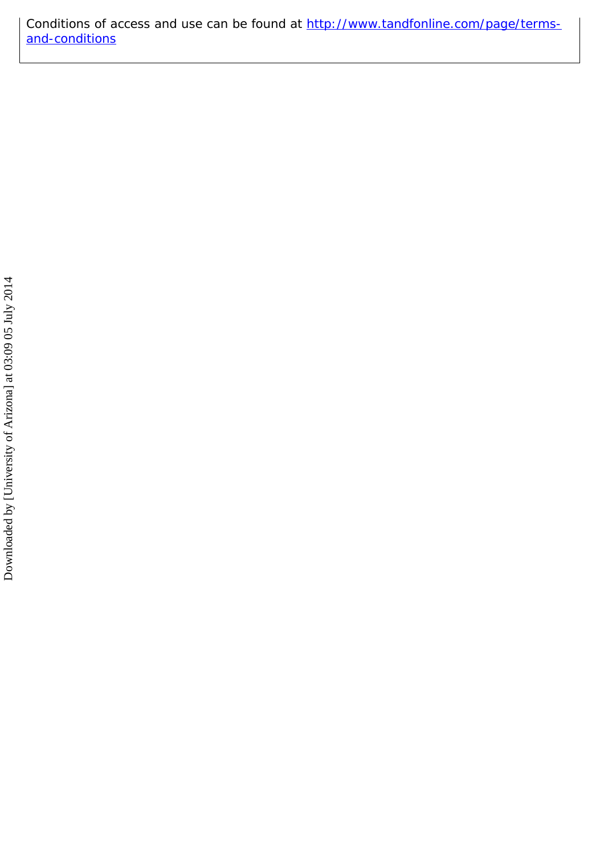Conditions of access and use can be found at [http://www.tandfonline.com/page/terms](http://www.tandfonline.com/page/terms-and-conditions)[and-conditions](http://www.tandfonline.com/page/terms-and-conditions)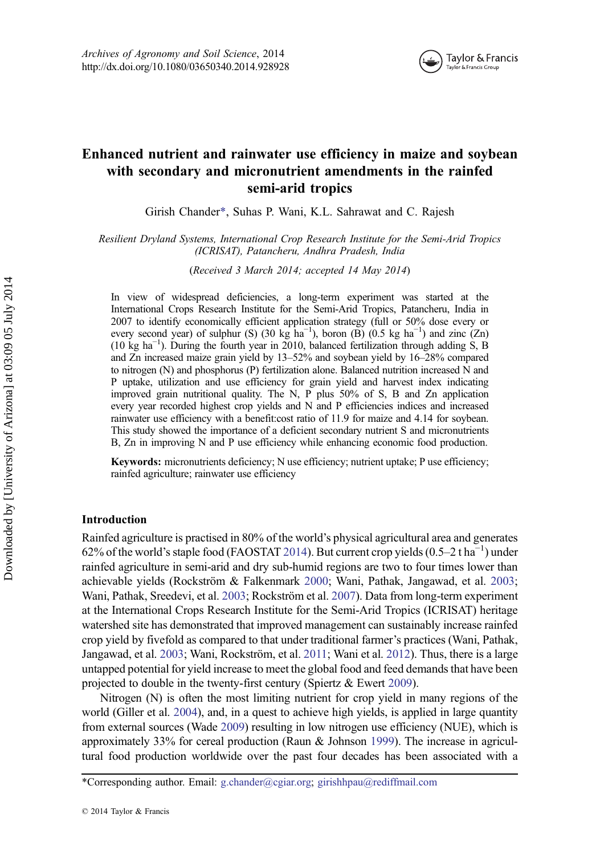

# Enhanced nutrient and rainwater use efficiency in maize and soybean with secondary and micronutrient amendments in the rainfed semi-arid tropics

Girish Chander\*, Suhas P. Wani, K.L. Sahrawat and C. Rajesh

Resilient Dryland Systems, International Crop Research Institute for the Semi-Arid Tropics (ICRISAT), Patancheru, Andhra Pradesh, India

(Received 3 March 2014; accepted 14 May 2014)

In view of widespread deficiencies, a long-term experiment was started at the International Crops Research Institute for the Semi-Arid Tropics, Patancheru, India in 2007 to identify economically efficient application strategy (full or 50% dose every or every second year) of sulphur (S)  $(30 \text{ kg ha}^{-1})$ , boron  $(B)$   $(0.5 \text{ kg ha}^{-1})$  and zinc  $(Zn)$ (10 kg ha−<sup>1</sup> ). During the fourth year in 2010, balanced fertilization through adding S, B and Zn increased maize grain yield by 13–52% and soybean yield by 16–28% compared to nitrogen (N) and phosphorus (P) fertilization alone. Balanced nutrition increased N and P uptake, utilization and use efficiency for grain yield and harvest index indicating improved grain nutritional quality. The N, P plus 50% of S, B and Zn application every year recorded highest crop yields and N and P efficiencies indices and increased rainwater use efficiency with a benefit:cost ratio of 11.9 for maize and 4.14 for soybean. This study showed the importance of a deficient secondary nutrient S and micronutrients B, Zn in improving N and P use efficiency while enhancing economic food production.

Keywords: micronutrients deficiency; N use efficiency; nutrient uptake; P use efficiency; rainfed agriculture; rainwater use efficiency

## Introduction

Rainfed agriculture is practised in 80% of the world's physical agricultural area and generates 62% of the world's staple food (FAOSTAT [2014\)](#page-14-0). But current crop yields (0.5–2 t ha−<sup>1</sup> ) under rainfed agriculture in semi-arid and dry sub-humid regions are two to four times lower than achievable yields (Rockström & Falkenmark [2000](#page-14-0); Wani, Pathak, Jangawad, et al. [2003](#page-15-0); Wani, Pathak, Sreedevi, et al. [2003](#page-15-0); Rockström et al. [2007](#page-14-0)). Data from long-term experiment at the International Crops Research Institute for the Semi-Arid Tropics (ICRISAT) heritage watershed site has demonstrated that improved management can sustainably increase rainfed crop yield by fivefold as compared to that under traditional farmer's practices (Wani, Pathak, Jangawad, et al. [2003](#page-15-0); Wani, Rockström, et al. [2011](#page-15-0); Wani et al. [2012](#page-15-0)). Thus, there is a large untapped potential for yield increase to meet the global food and feed demands that have been projected to double in the twenty-first century (Spiertz & Ewert [2009](#page-15-0)).

Nitrogen (N) is often the most limiting nutrient for crop yield in many regions of the world (Giller et al. [2004](#page-14-0)), and, in a quest to achieve high yields, is applied in large quantity from external sources (Wade [2009](#page-15-0)) resulting in low nitrogen use efficiency (NUE), which is approximately 33% for cereal production (Raun  $\&$  Johnson [1999](#page-14-0)). The increase in agricultural food production worldwide over the past four decades has been associated with a

<sup>\*</sup>Corresponding author. Email: g.chander@cgiar.org; girishhpau@rediffmail.com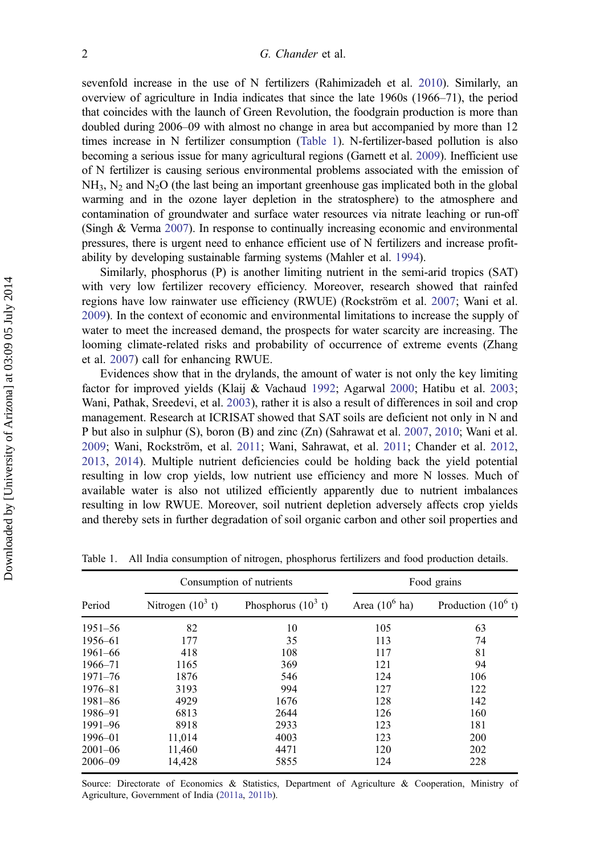<span id="page-3-0"></span>sevenfold increase in the use of N fertilizers (Rahimizadeh et al. [2010\)](#page-14-0). Similarly, an overview of agriculture in India indicates that since the late 1960s (1966–71), the period that coincides with the launch of Green Revolution, the foodgrain production is more than doubled during 2006–09 with almost no change in area but accompanied by more than 12 times increase in N fertilizer consumption (Table 1). N-fertilizer-based pollution is also becoming a serious issue for many agricultural regions (Garnett et al. [2009\)](#page-14-0). Inefficient use of N fertilizer is causing serious environmental problems associated with the emission of  $NH<sub>3</sub>$ , N<sub>2</sub> and N<sub>2</sub>O (the last being an important greenhouse gas implicated both in the global warming and in the ozone layer depletion in the stratosphere) to the atmosphere and contamination of groundwater and surface water resources via nitrate leaching or run-off (Singh & Verma [2007](#page-15-0)). In response to continually increasing economic and environmental pressures, there is urgent need to enhance efficient use of N fertilizers and increase profitability by developing sustainable farming systems (Mahler et al. [1994\)](#page-14-0).

Similarly, phosphorus (P) is another limiting nutrient in the semi-arid tropics (SAT) with very low fertilizer recovery efficiency. Moreover, research showed that rainfed regions have low rainwater use efficiency (RWUE) (Rockström et al. [2007;](#page-14-0) Wani et al. [2009](#page-15-0)). In the context of economic and environmental limitations to increase the supply of water to meet the increased demand, the prospects for water scarcity are increasing. The looming climate-related risks and probability of occurrence of extreme events (Zhang et al. [2007](#page-15-0)) call for enhancing RWUE.

Evidences show that in the drylands, the amount of water is not only the key limiting factor for improved yields (Klaij & Vachaud [1992](#page-14-0); Agarwal [2000;](#page-13-0) Hatibu et al. [2003](#page-14-0); Wani, Pathak, Sreedevi, et al. [2003](#page-15-0)), rather it is also a result of differences in soil and crop management. Research at ICRISAT showed that SAT soils are deficient not only in N and P but also in sulphur (S), boron (B) and zinc (Zn) (Sahrawat et al. [2007,](#page-15-0) [2010;](#page-15-0) Wani et al. [2009](#page-15-0); Wani, Rockström, et al. [2011;](#page-15-0) Wani, Sahrawat, et al. [2011](#page-15-0); Chander et al. [2012](#page-13-0), [2013](#page-13-0), [2014](#page-13-0)). Multiple nutrient deficiencies could be holding back the yield potential resulting in low crop yields, low nutrient use efficiency and more N losses. Much of available water is also not utilized efficiently apparently due to nutrient imbalances resulting in low RWUE. Moreover, soil nutrient depletion adversely affects crop yields and thereby sets in further degradation of soil organic carbon and other soil properties and

| Period<br>$1951 - 56$<br>1956-61<br>1961–66<br>1966-71<br>$1971 - 76$<br>$1976 - 81$<br>1981–86<br>1986-91<br>1991-96 |                     | Consumption of nutrients | Food grains      |                       |  |
|-----------------------------------------------------------------------------------------------------------------------|---------------------|--------------------------|------------------|-----------------------|--|
|                                                                                                                       | Nitrogen $(10^3 t)$ | Phosphorus $(10^3 t)$    | Area $(10^6$ ha) | Production $(10^6 t)$ |  |
|                                                                                                                       | 82                  | 10                       | 105              | 63                    |  |
|                                                                                                                       | 177                 | 35                       | 113              | 74                    |  |
|                                                                                                                       | 418                 | 108                      | 117              | 81                    |  |
|                                                                                                                       | 1165                | 369                      | 121              | 94                    |  |
|                                                                                                                       | 1876                | 546                      | 124              | 106                   |  |
|                                                                                                                       | 3193                | 994                      | 127              | 122                   |  |
|                                                                                                                       | 4929                | 1676                     | 128              | 142                   |  |
|                                                                                                                       | 6813                | 2644                     | 126              | 160                   |  |
|                                                                                                                       | 8918                | 2933                     | 123              | 181                   |  |
| 1996-01                                                                                                               | 11,014              | 4003                     | 123              | 200                   |  |
| $2001 - 06$                                                                                                           | 11,460              | 4471                     | 120              | 202                   |  |
| 2006-09                                                                                                               | 14.428              | 5855                     | 124              | 228                   |  |

Table 1. All India consumption of nitrogen, phosphorus fertilizers and food production details.

Source: Directorate of Economics & Statistics, Department of Agriculture & Cooperation, Ministry of Agriculture, Government of India ([2011a,](#page-14-0) [2011b\)](#page-14-0).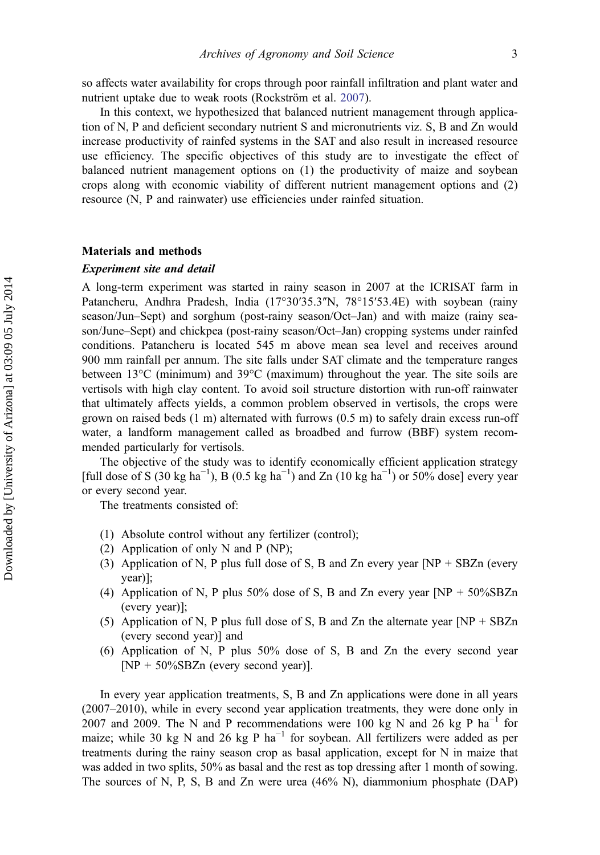so affects water availability for crops through poor rainfall infiltration and plant water and nutrient uptake due to weak roots (Rockström et al. [2007\)](#page-14-0).

In this context, we hypothesized that balanced nutrient management through application of N, P and deficient secondary nutrient S and micronutrients viz. S, B and Zn would increase productivity of rainfed systems in the SAT and also result in increased resource use efficiency. The specific objectives of this study are to investigate the effect of balanced nutrient management options on (1) the productivity of maize and soybean crops along with economic viability of different nutrient management options and (2) resource (N, P and rainwater) use efficiencies under rainfed situation.

## Materials and methods

## Experiment site and detail

A long-term experiment was started in rainy season in 2007 at the ICRISAT farm in Patancheru, Andhra Pradesh, India (17°30'35.3"N, 78°15'53.4E) with soybean (rainy season/Jun–Sept) and sorghum (post-rainy season/Oct–Jan) and with maize (rainy season/June–Sept) and chickpea (post-rainy season/Oct–Jan) cropping systems under rainfed conditions. Patancheru is located 545 m above mean sea level and receives around 900 mm rainfall per annum. The site falls under SAT climate and the temperature ranges between 13°C (minimum) and 39°C (maximum) throughout the year. The site soils are vertisols with high clay content. To avoid soil structure distortion with run-off rainwater that ultimately affects yields, a common problem observed in vertisols, the crops were grown on raised beds  $(1 \text{ m})$  alternated with furrows  $(0.5 \text{ m})$  to safely drain excess run-off water, a landform management called as broadbed and furrow (BBF) system recommended particularly for vertisols.

The objective of the study was to identify economically efficient application strategy [full dose of S (30 kg ha<sup>-1</sup>), B (0.5 kg ha<sup>-1</sup>) and Zn (10 kg ha<sup>-1</sup>) or 50% dose] every year or every second year.

The treatments consisted of:

- (1) Absolute control without any fertilizer (control);
- (2) Application of only N and P (NP);
- (3) Application of N, P plus full dose of S, B and Zn every year  $[NP + SBZn$  (every year)];
- (4) Application of N, P plus 50% dose of S, B and Zn every year  $[NP + 50\%SBZn]$ (every year)];
- (5) Application of N, P plus full dose of S, B and Zn the alternate year  $[NP + SBZn]$ (every second year)] and
- (6) Application of N, P plus 50% dose of S, B and Zn the every second year [NP + 50%SBZn (every second year)].

In every year application treatments, S, B and Zn applications were done in all years (2007–2010), while in every second year application treatments, they were done only in 2007 and 2009. The N and P recommendations were 100 kg N and 26 kg P  $ha^{-1}$  for maize; while 30 kg N and 26 kg P ha<sup>-1</sup> for soybean. All fertilizers were added as per treatments during the rainy season crop as basal application, except for N in maize that was added in two splits, 50% as basal and the rest as top dressing after 1 month of sowing. The sources of N, P, S, B and Zn were urea (46% N), diammonium phosphate (DAP)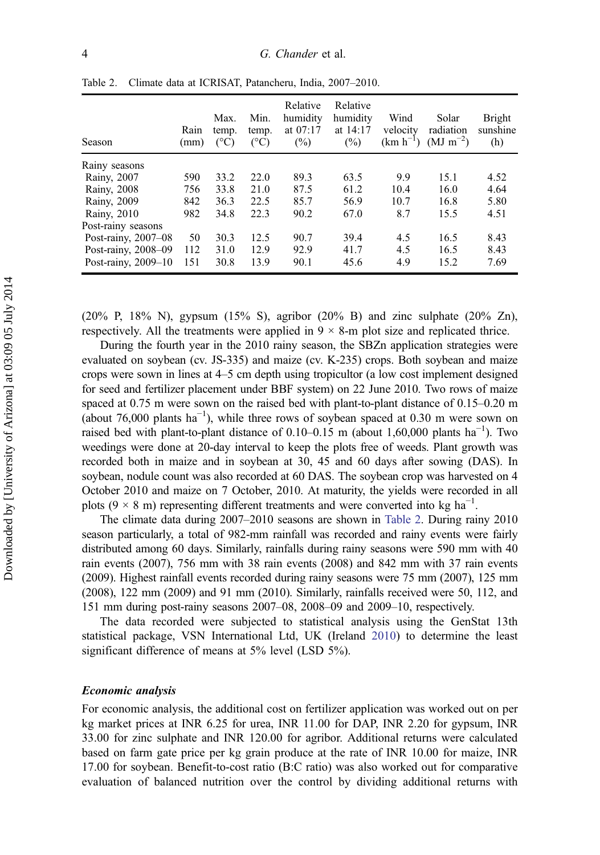| Season                | Rain<br>(mm) | Max.<br>temp.<br>$(^{\circ}C)$ | Min.<br>temp.<br>$(^{\circ}C)$ | Relative<br>humidity<br>at 07:17<br>$\binom{0}{0}$ | Relative<br>humidity<br>at 14:17<br>(%) | Wind<br>velocity<br>(km h | Solar<br>radiation<br>$(MJ \text{ m}^{-2})$ | <b>Bright</b><br>sunshine<br>(h) |
|-----------------------|--------------|--------------------------------|--------------------------------|----------------------------------------------------|-----------------------------------------|---------------------------|---------------------------------------------|----------------------------------|
| Rainy seasons         |              |                                |                                |                                                    |                                         |                           |                                             |                                  |
| Rainy, 2007           | 590          | 33.2                           | 22.0                           | 89.3                                               | 63.5                                    | 9.9                       | 15.1                                        | 4.52                             |
| Rainy, 2008           | 756          | 33.8                           | 21.0                           | 87.5                                               | 61.2                                    | 10.4                      | 16.0                                        | 4.64                             |
| Rainy, 2009           | 842          | 36.3                           | 22.5                           | 85.7                                               | 56.9                                    | 10.7                      | 16.8                                        | 5.80                             |
| Rainy, 2010           | 982          | 34.8                           | 22.3                           | 90.2                                               | 67.0                                    | 8.7                       | 15.5                                        | 4.51                             |
| Post-rainy seasons    |              |                                |                                |                                                    |                                         |                           |                                             |                                  |
| Post-rainy, $2007-08$ | 50           | 30.3                           | 12.5                           | 90.7                                               | 39.4                                    | 4.5                       | 16.5                                        | 8.43                             |
| Post-rainy, $2008-09$ | 112          | 31.0                           | 12.9                           | 92.9                                               | 41.7                                    | 4.5                       | 16.5                                        | 8.43                             |
| Post-rainy, 2009-10   | 151          | 30.8                           | 13.9                           | 90.1                                               | 45.6                                    | 4.9                       | 15.2                                        | 7.69                             |

Table 2. Climate data at ICRISAT, Patancheru, India, 2007–2010.

(20% P, 18% N), gypsum (15% S), agribor (20% B) and zinc sulphate (20% Zn), respectively. All the treatments were applied in  $9 \times 8$ -m plot size and replicated thrice.

During the fourth year in the 2010 rainy season, the SBZn application strategies were evaluated on soybean (cv. JS-335) and maize (cv. K-235) crops. Both soybean and maize crops were sown in lines at 4–5 cm depth using tropicultor (a low cost implement designed for seed and fertilizer placement under BBF system) on 22 June 2010. Two rows of maize spaced at 0.75 m were sown on the raised bed with plant-to-plant distance of 0.15–0.20 m (about 76,000 plants  $ha^{-1}$ ), while three rows of soybean spaced at 0.30 m were sown on raised bed with plant-to-plant distance of  $0.10-0.15$  m (about 1,60,000 plants ha<sup>-1</sup>). Two weedings were done at 20-day interval to keep the plots free of weeds. Plant growth was recorded both in maize and in soybean at 30, 45 and 60 days after sowing (DAS). In soybean, nodule count was also recorded at 60 DAS. The soybean crop was harvested on 4 October 2010 and maize on 7 October, 2010. At maturity, the yields were recorded in all plots (9  $\times$  8 m) representing different treatments and were converted into kg ha<sup>-1</sup>.

The climate data during 2007–2010 seasons are shown in Table 2. During rainy 2010 season particularly, a total of 982-mm rainfall was recorded and rainy events were fairly distributed among 60 days. Similarly, rainfalls during rainy seasons were 590 mm with 40 rain events (2007), 756 mm with 38 rain events (2008) and 842 mm with 37 rain events (2009). Highest rainfall events recorded during rainy seasons were 75 mm (2007), 125 mm (2008), 122 mm (2009) and 91 mm (2010). Similarly, rainfalls received were 50, 112, and 151 mm during post-rainy seasons 2007–08, 2008–09 and 2009–10, respectively.

The data recorded were subjected to statistical analysis using the GenStat 13th statistical package, VSN International Ltd, UK (Ireland [2010\)](#page-14-0) to determine the least significant difference of means at 5% level (LSD 5%).

#### Economic analysis

For economic analysis, the additional cost on fertilizer application was worked out on per kg market prices at INR 6.25 for urea, INR 11.00 for DAP, INR 2.20 for gypsum, INR 33.00 for zinc sulphate and INR 120.00 for agribor. Additional returns were calculated based on farm gate price per kg grain produce at the rate of INR 10.00 for maize, INR 17.00 for soybean. Benefit-to-cost ratio (B:C ratio) was also worked out for comparative evaluation of balanced nutrition over the control by dividing additional returns with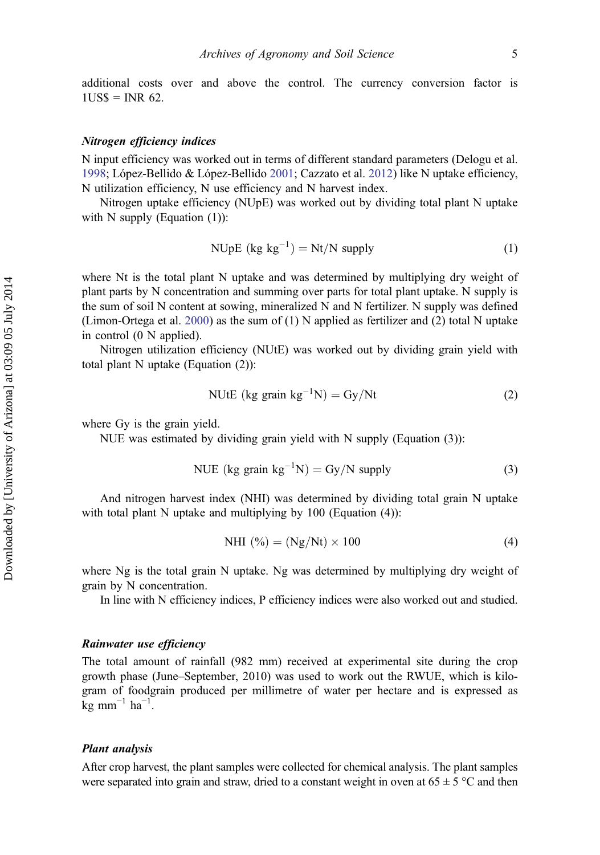additional costs over and above the control. The currency conversion factor is  $11$  JS\$ = INR 62.

## Nitrogen efficiency indices

N input efficiency was worked out in terms of different standard parameters (Delogu et al. [1998](#page-14-0); López-Bellido & López-Bellido [2001;](#page-14-0) Cazzato et al. [2012](#page-13-0)) like N uptake efficiency, N utilization efficiency, N use efficiency and N harvest index.

Nitrogen uptake efficiency (NUpE) was worked out by dividing total plant N uptake with N supply (Equation  $(1)$ ):

$$
NUpE (kg kg-1) = Nt/N supply
$$
 (1)

where Nt is the total plant N uptake and was determined by multiplying dry weight of plant parts by N concentration and summing over parts for total plant uptake. N supply is the sum of soil N content at sowing, mineralized N and N fertilizer. N supply was defined (Limon-Ortega et al. [2000](#page-14-0)) as the sum of  $(1)$  N applied as fertilizer and  $(2)$  total N uptake in control (0 N applied).

Nitrogen utilization efficiency (NUtE) was worked out by dividing grain yield with total plant N uptake (Equation (2)):

$$
NUE (kg grain kg-1N) = Gy/Nt
$$
 (2)

where Gy is the grain yield.

NUE was estimated by dividing grain yield with N supply (Equation (3)):

$$
NUE (kg grain kg-1N) = Gy/N supply
$$
 (3)

And nitrogen harvest index (NHI) was determined by dividing total grain N uptake with total plant N uptake and multiplying by 100 (Equation (4)):

$$
NHI\ (%) = (Ng/Nt) \times 100\tag{4}
$$

where Ng is the total grain N uptake. Ng was determined by multiplying dry weight of grain by N concentration.

In line with N efficiency indices, P efficiency indices were also worked out and studied.

## Rainwater use efficiency

The total amount of rainfall (982 mm) received at experimental site during the crop growth phase (June–September, 2010) was used to work out the RWUE, which is kilogram of foodgrain produced per millimetre of water per hectare and is expressed as  $\text{kg mm}^{-1} \text{ ha}^{-1}$ .

### Plant analysis

After crop harvest, the plant samples were collected for chemical analysis. The plant samples were separated into grain and straw, dried to a constant weight in oven at  $65 \pm 5$  °C and then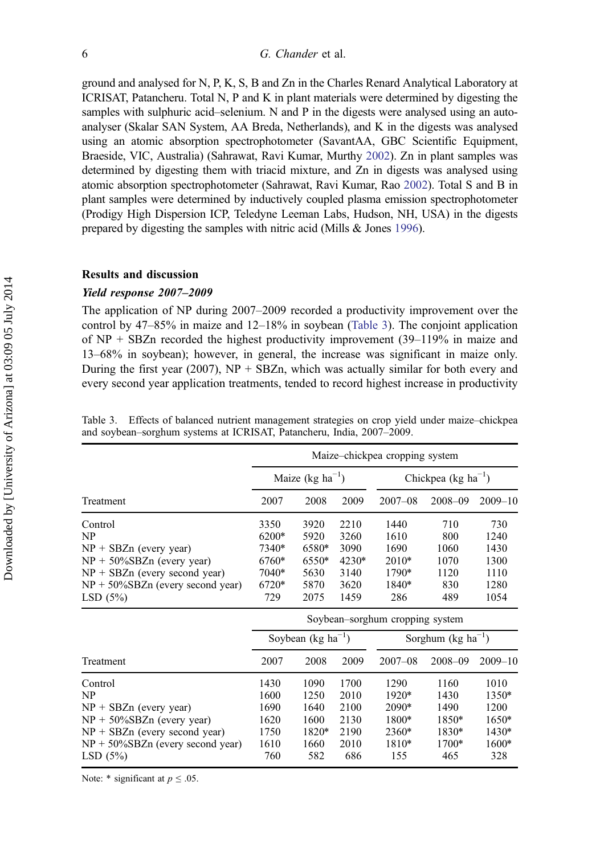ground and analysed for N, P, K, S, B and Zn in the Charles Renard Analytical Laboratory at ICRISAT, Patancheru. Total N, P and K in plant materials were determined by digesting the samples with sulphuric acid–selenium. N and P in the digests were analysed using an autoanalyser (Skalar SAN System, AA Breda, Netherlands), and K in the digests was analysed using an atomic absorption spectrophotometer (SavantAA, GBC Scientific Equipment, Braeside, VIC, Australia) (Sahrawat, Ravi Kumar, Murthy [2002\)](#page-15-0). Zn in plant samples was determined by digesting them with triacid mixture, and Zn in digests was analysed using atomic absorption spectrophotometer (Sahrawat, Ravi Kumar, Rao [2002\)](#page-15-0). Total S and B in plant samples were determined by inductively coupled plasma emission spectrophotometer (Prodigy High Dispersion ICP, Teledyne Leeman Labs, Hudson, NH, USA) in the digests prepared by digesting the samples with nitric acid (Mills & Jones [1996](#page-14-0)).

## Results and discussion

## Yield response 2007–2009

The application of NP during 2007–2009 recorded a productivity improvement over the control by 47–85% in maize and 12–18% in soybean (Table 3). The conjoint application of NP + SBZn recorded the highest productivity improvement (39–119% in maize and 13–68% in soybean); however, in general, the increase was significant in maize only. During the first year (2007),  $NP + SBZn$ , which was actually similar for both every and every second year application treatments, tended to record highest increase in productivity

Table 3. Effects of balanced nutrient management strategies on crop yield under maize–chickpea and soybean–sorghum systems at ICRISAT, Patancheru, India, 2007–2009.

|                                     | Maize-chickpea cropping system |                                |       |                                 |                                  |             |  |  |
|-------------------------------------|--------------------------------|--------------------------------|-------|---------------------------------|----------------------------------|-------------|--|--|
|                                     |                                | Maize ( $kg \text{ ha}^{-1}$ ) |       | Chickpea (kg $ha^{-1}$ )        |                                  |             |  |  |
| Treatment                           | 2007                           | 2008                           | 2009  | $2007 - 08$                     | $2008 - 09$                      | $2009 - 10$ |  |  |
| Control                             | 3350                           | 3920                           | 2210  | 1440                            | 710                              | 730         |  |  |
| NP                                  | 6200*                          | 5920                           | 3260  | 1610                            | 800                              | 1240        |  |  |
| $NP + SBZn$ (every year)            | 7340*                          | 6580*                          | 3090  | 1690                            | 1060                             | 1430        |  |  |
| $NP + 50\%SBZn$ (every year)        | 6760*                          | 6550*                          | 4230* | $2010*$                         | 1070                             | 1300        |  |  |
| $NP + SBZn$ (every second year)     | 7040*                          | 5630                           | 3140  | 1790*                           | 1120                             | 1110        |  |  |
| $NP + 50\%SBZn$ (every second year) | 6720*                          | 5870                           | 3620  | 1840*                           | 830                              | 1280        |  |  |
| LSD(5%)                             | 729                            | 2075                           | 1459  | 286                             | 489                              | 1054        |  |  |
|                                     |                                |                                |       | Soybean–sorghum cropping system |                                  |             |  |  |
|                                     |                                | Soybean $(kg ha^{-1})$         |       |                                 | Sorghum ( $kg \text{ ha}^{-1}$ ) |             |  |  |
| Treatment                           | 2007                           | 2008                           | 2009  | $2007 - 08$                     | $2008 - 09$                      | $2009 - 10$ |  |  |
| Control                             | 1430                           | 1090                           | 1700  | 1290                            | 1160                             | 1010        |  |  |
| NP                                  | 1600                           | 1250                           | 2010  | $1920*$                         | 1430                             | 1350*       |  |  |
| $NP + SBZn$ (every year)            | 1690                           | 1640                           | 2100  | 2090*                           | 1490                             | 1200        |  |  |
| $NP + 50\%SBZn$ (every year)        | 1620                           | 1600                           | 2130  | 1800*                           | 1850*                            | $1650*$     |  |  |
| $NP + SBZn$ (every second year)     | 1750                           | 1820*                          | 2190  | 2360*                           | 1830*                            | 1430*       |  |  |
| $NP + 50\%SBZn$ (every second year) | 1610                           | 1660                           | 2010  | 1810*                           | 1700*                            | 1600*       |  |  |
| LSD(5%)                             | 760                            | 582                            | 686   | 155                             | 465                              | 328         |  |  |

Note: \* significant at  $p \leq .05$ .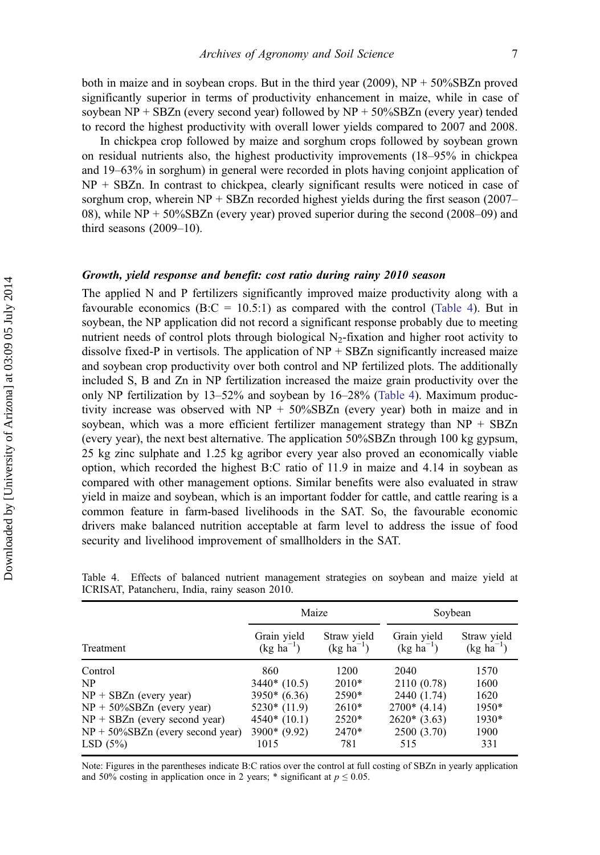both in maize and in soybean crops. But in the third year (2009),  $NP + 50\% SBA$  proved significantly superior in terms of productivity enhancement in maize, while in case of soybean  $NP + SBZn$  (every second year) followed by  $NP + 50\%SBZn$  (every year) tended to record the highest productivity with overall lower yields compared to 2007 and 2008.

In chickpea crop followed by maize and sorghum crops followed by soybean grown on residual nutrients also, the highest productivity improvements (18–95% in chickpea and 19–63% in sorghum) in general were recorded in plots having conjoint application of  $NP + SBZn$ . In contrast to chickpea, clearly significant results were noticed in case of sorghum crop, wherein  $NP + SBZn$  recorded highest yields during the first season (2007– 08), while NP + 50%SBZn (every year) proved superior during the second (2008–09) and third seasons  $(2009-10)$ .

## Growth, yield response and benefit: cost ratio during rainy 2010 season

The applied N and P fertilizers significantly improved maize productivity along with a favourable economics  $(B:C = 10.5:1)$  as compared with the control (Table 4). But in soybean, the NP application did not record a significant response probably due to meeting nutrient needs of control plots through biological  $N<sub>2</sub>$ -fixation and higher root activity to dissolve fixed-P in vertisols. The application of  $NP + SBZn$  significantly increased maize and soybean crop productivity over both control and NP fertilized plots. The additionally included S, B and Zn in NP fertilization increased the maize grain productivity over the only NP fertilization by 13–52% and soybean by 16–28% (Table 4). Maximum productivity increase was observed with  $NP + 50\%$ SBZn (every year) both in maize and in soybean, which was a more efficient fertilizer management strategy than  $NP + SBZn$ (every year), the next best alternative. The application 50%SBZn through 100 kg gypsum, 25 kg zinc sulphate and 1.25 kg agribor every year also proved an economically viable option, which recorded the highest B:C ratio of 11.9 in maize and 4.14 in soybean as compared with other management options. Similar benefits were also evaluated in straw yield in maize and soybean, which is an important fodder for cattle, and cattle rearing is a common feature in farm-based livelihoods in the SAT. So, the favourable economic drivers make balanced nutrition acceptable at farm level to address the issue of food security and livelihood improvement of smallholders in the SAT.

Table 4. Effects of balanced nutrient management strategies on soybean and maize yield at ICRISAT, Patancheru, India, rainy season 2010.

|                                     | Maize                         |                               | Soybean                       |                               |  |
|-------------------------------------|-------------------------------|-------------------------------|-------------------------------|-------------------------------|--|
| Treatment                           | Grain yield<br>$(kg ha^{-1})$ | Straw yield<br>$(kg ha^{-1})$ | Grain yield<br>$(kg ha^{-1})$ | Straw yield<br>$(kg ha^{-1})$ |  |
| Control                             | 860                           | 1200                          | 2040                          | 1570                          |  |
| NP                                  | $3440*(10.5)$                 | $2010*$                       | 2110 (0.78)                   | 1600                          |  |
| $NP + SBZn$ (every year)            | $3950*(6.36)$                 | 2590*                         | 2440 (1.74)                   | 1620                          |  |
| $NP + 50\%$ SBZn (every year)       | $5230*(11.9)$                 | $2610*$                       | $2700*(4.14)$                 | 1950*                         |  |
| $NP + SBZn$ (every second year)     | $4540*(10.1)$                 | $2520*$                       | $2620*(3.63)$                 | 1930*                         |  |
| $NP + 50\%SBZn$ (every second year) | $3900*$ (9.92)                | $2470*$                       | 2500 (3.70)                   | 1900                          |  |
| LSD(5%)                             | 1015                          | 781                           | 515                           | 331                           |  |

Note: Figures in the parentheses indicate B:C ratios over the control at full costing of SBZn in yearly application and 50% costing in application once in 2 years; \* significant at  $p \le 0.05$ .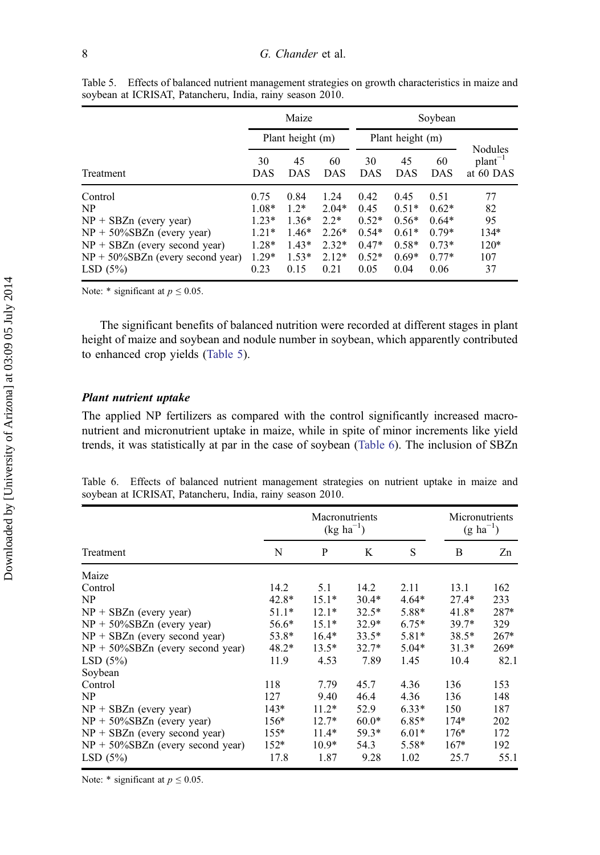|                                     |                  | Maize      |         | Soybean          |            |            |           |
|-------------------------------------|------------------|------------|---------|------------------|------------|------------|-----------|
|                                     | Plant height (m) |            |         | Plant height (m) |            |            | Nodules   |
| Treatment                           | 30               | 45         | 60      | 30               | 45         | 60         | $plan-1$  |
|                                     | <b>DAS</b>       | <b>DAS</b> | DAS     | DAS              | <b>DAS</b> | <b>DAS</b> | at 60 DAS |
| Control                             | 0.75             | 0.84       | 1.24    | 0.42             | 0.45       | 0.51       | 77        |
| <b>NP</b>                           | $1.08*$          | $1.2*$     | $2.04*$ | 0.45             | $0.51*$    | $0.62*$    | 82        |
| $NP + SBZn$ (every year)            | $1.23*$          | $1.36*$    | $2.2*$  | $0.52*$          | $0.56*$    | $0.64*$    | 95        |
| $NP + 50\%SBZn$ (every year)        | $1.21*$          | $1.46*$    | $2.26*$ | $0.54*$          | $0.61*$    | $0.79*$    | $134*$    |
| $NP + SBZn$ (every second year)     | $1.28*$          | $1.43*$    | $2.32*$ | $0.47*$          | $0.58*$    | $0.73*$    | $120*$    |
| $NP + 50\%SBZn$ (every second year) | $1.29*$          | $1.53*$    | $2.12*$ | $0.52*$          | $0.69*$    | $0.77*$    | 107       |
| LSD(5%)                             | 0.23             | 0.15       | 0.21    | 0.05             | 0.04       | 0.06       | 37        |

Table 5. Effects of balanced nutrient management strategies on growth characteristics in maize and soybean at ICRISAT, Patancheru, India, rainy season 2010.

Note: \* significant at  $p \le 0.05$ .

The significant benefits of balanced nutrition were recorded at different stages in plant height of maize and soybean and nodule number in soybean, which apparently contributed to enhanced crop yields (Table 5).

## Plant nutrient uptake

The applied NP fertilizers as compared with the control significantly increased macronutrient and micronutrient uptake in maize, while in spite of minor increments like yield trends, it was statistically at par in the case of soybean (Table 6). The inclusion of SBZn

Table 6. Effects of balanced nutrient management strategies on nutrient uptake in maize and soybean at ICRISAT, Patancheru, India, rainy season 2010.

|                                     | Macronutrients<br>$(kg ha^{-1})$ |         |         |         |         | Micronutrients<br>$(g \, ha^{-1})$ |  |
|-------------------------------------|----------------------------------|---------|---------|---------|---------|------------------------------------|--|
| Treatment                           | N                                | P       | K       | S       | B       | Zn                                 |  |
| Maize                               |                                  |         |         |         |         |                                    |  |
| Control                             | 14.2                             | 5.1     | 14.2    | 2.11    | 13.1    | 162                                |  |
| NP                                  | $42.8*$                          | $15.1*$ | $30.4*$ | $4.64*$ | $27.4*$ | 233                                |  |
| $NP + SBZn$ (every year)            | $51.1*$                          | $12.1*$ | $32.5*$ | 5.88*   | $41.8*$ | 287*                               |  |
| $NP + 50\%SBZn$ (every year)        | 56.6*                            | $15.1*$ | $32.9*$ | $6.75*$ | $39.7*$ | 329                                |  |
| $NP + SBZn$ (every second year)     | 53.8*                            | $16.4*$ | $33.5*$ | $5.81*$ | $38.5*$ | $267*$                             |  |
| $NP + 50\%SBZn$ (every second year) | 48.2*                            | $13.5*$ | $32.7*$ | $5.04*$ | $31.3*$ | $269*$                             |  |
| LSD $(5\%)$                         | 11.9                             | 4.53    | 7.89    | 1.45    | 10.4    | 82.1                               |  |
| Soybean                             |                                  |         |         |         |         |                                    |  |
| Control                             | 118                              | 7.79    | 45.7    | 4.36    | 136     | 153                                |  |
| NP                                  | 127                              | 9.40    | 46.4    | 4.36    | 136     | 148                                |  |
| $NP + SBZn$ (every year)            | $143*$                           | $11.2*$ | 52.9    | $6.33*$ | 150     | 187                                |  |
| $NP + 50\%SBZn$ (every year)        | $156*$                           | $12.7*$ | $60.0*$ | $6.85*$ | $174*$  | 202                                |  |
| $NP + SBZn$ (every second year)     | $155*$                           | $11.4*$ | $59.3*$ | $6.01*$ | $176*$  | 172                                |  |
| $NP + 50\%SBZn$ (every second year) | $152*$                           | $10.9*$ | 54.3    | $5.58*$ | $167*$  | 192                                |  |
| LSD(5%)                             | 17.8                             | 1.87    | 9.28    | 1.02    | 25.7    | 55.1                               |  |

Note: \* significant at  $p \le 0.05$ .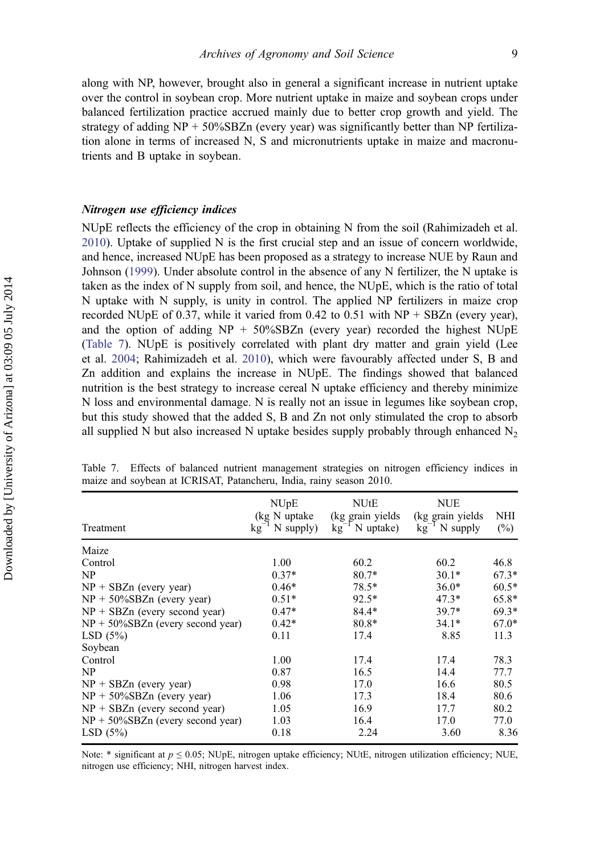<span id="page-10-0"></span>along with NP, however, brought also in general a significant increase in nutrient uptake over the control in soybean crop. More nutrient uptake in maize and soybean crops under balanced fertilization practice accrued mainly due to better crop growth and yield. The strategy of adding  $NP + 50\%SBZn$  (every year) was significantly better than NP fertilization alone in terms of increased N, S and micronutrients uptake in maize and macronutrients and B uptake in soybean.

## Nitrogen use efficiency indices

NUpE reflects the efficiency of the crop in obtaining N from the soil (Rahimizadeh et al.  $2010$ ). Uptake of supplied N is the first crucial step and an issue of concern worldwide, and hence, increased NUpE has been proposed as a strategy to increase NUE by Raun and Johnson ([1999\)](#page-14-0). Under absolute control in the absence of any N fertilizer, the N uptake is taken as the index of N supply from soil, and hence, the NUpE, which is the ratio of total N uptake with N supply, is unity in control. The applied NP fertilizers in maize crop recorded NUpE of 0.37, while it varied from 0.42 to 0.51 with  $NP + SBZn$  (every year), and the option of adding  $NP + 50\%SBZn$  (every year) recorded the highest NUpE (Table 7). NUpE is positively correlated with plant dry matter and grain yield (Lee et al. [2004;](#page-14-0) Rahimizadeh et al. [2010](#page-14-0)), which were favourably affected under S, B and Zn addition and explains the increase in NUpE. The findings showed that balanced nutrition is the best strategy to increase cereal N uptake efficiency and thereby minimize N loss and environmental damage. N is really not an issue in legumes like soybean crop, but this study showed that the added S, B and Zn not only stimulated the crop to absorb all supplied N but also increased N uptake besides supply probably through enhanced  $N_2$ 

| Treatment                           | <b>NUpE</b><br>(kg N uptake<br>$kg^{-1}$ N supply) | <b>NUtE</b><br>(kg grain yields<br>$kg^{-1}$ N uptake) | <b>NUE</b><br>(kg grain yields<br>$kg^{-1}$ N supply | NHI<br>$(\%)$ |
|-------------------------------------|----------------------------------------------------|--------------------------------------------------------|------------------------------------------------------|---------------|
| Maize                               |                                                    |                                                        |                                                      |               |
| Control                             | 1.00                                               | 60.2                                                   | 60.2                                                 | 46.8          |
| NP.                                 | $0.37*$                                            | $80.7*$                                                | $30.1*$                                              | $67.3*$       |
| $NP + SBZn$ (every year)            | $0.46*$                                            | 78.5*                                                  | $36.0*$                                              | $60.5*$       |
| $NP + 50\%SBZn$ (every year)        | $0.51*$                                            | $92.5*$                                                | $47.3*$                                              | $65.8*$       |
| $NP + SBZn$ (every second year)     | $0.47*$                                            | $84.4*$                                                | $39.7*$                                              | $69.3*$       |
| $NP + 50\%SBZn$ (every second year) | $0.42*$                                            | $80.8*$                                                | $34.1*$                                              | $67.0*$       |
| LSD $(5\%)$                         | 0.11                                               | 17.4                                                   | 8.85                                                 | 11.3          |
| Soybean                             |                                                    |                                                        |                                                      |               |
| Control                             | 1.00                                               | 17.4                                                   | 17.4                                                 | 78.3          |
| NP                                  | 0.87                                               | 16.5                                                   | 14.4                                                 | 77.7          |
| $NP + SBZn$ (every year)            | 0.98                                               | 17.0                                                   | 16.6                                                 | 80.5          |
| $NP + 50\%SBZn$ (every year)        | 1.06                                               | 17.3                                                   | 18.4                                                 | 80.6          |
| $NP + SBZn$ (every second year)     | 1.05                                               | 16.9                                                   | 17.7                                                 | 80.2          |
| $NP + 50\%SBZn$ (every second year) | 1.03                                               | 16.4                                                   | 17.0                                                 | 77.0          |
| LSD(5%)                             | 0.18                                               | 2.24                                                   | 3.60                                                 | 8.36          |
|                                     |                                                    |                                                        |                                                      |               |

Table 7. Effects of balanced nutrient management strategies on nitrogen efficiency indices in maize and soybean at ICRISAT, Patancheru, India, rainy season 2010.

Note: \* significant at  $p \le 0.05$ ; NUpE, nitrogen uptake efficiency; NUtE, nitrogen utilization efficiency; NUE, nitrogen use efficiency; NHI, nitrogen harvest index.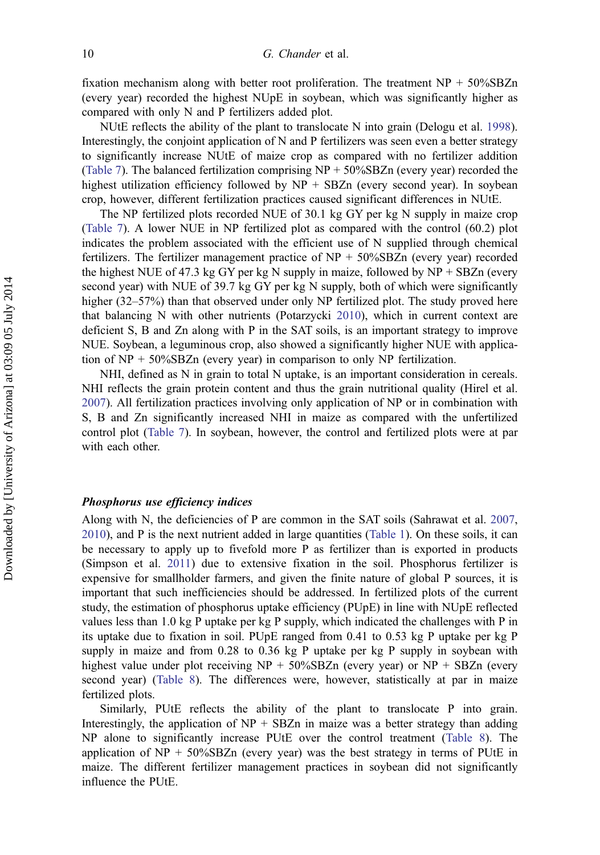fixation mechanism along with better root proliferation. The treatment  $NP + 50\%SBZn$ (every year) recorded the highest NUpE in soybean, which was significantly higher as compared with only N and P fertilizers added plot.

NUtE reflects the ability of the plant to translocate N into grain (Delogu et al. [1998](#page-14-0)). Interestingly, the conjoint application of N and P fertilizers was seen even a better strategy to significantly increase NUtE of maize crop as compared with no fertilizer addition ([Table 7\)](#page-10-0). The balanced fertilization comprising  $NP + 50\%$ SBZn (every year) recorded the highest utilization efficiency followed by  $NP + SBZn$  (every second year). In soybean crop, however, different fertilization practices caused significant differences in NUtE.

The NP fertilized plots recorded NUE of 30.1 kg GY per kg N supply in maize crop ([Table 7](#page-10-0)). A lower NUE in NP fertilized plot as compared with the control (60.2) plot indicates the problem associated with the efficient use of N supplied through chemical fertilizers. The fertilizer management practice of  $NP + 50\%SBZn$  (every year) recorded the highest NUE of 47.3 kg GY per kg N supply in maize, followed by  $NP + SBZn$  (every second year) with NUE of 39.7 kg GY per kg N supply, both of which were significantly higher (32–57%) than that observed under only NP fertilized plot. The study proved here that balancing N with other nutrients (Potarzycki [2010\)](#page-14-0), which in current context are deficient S, B and Zn along with P in the SAT soils, is an important strategy to improve NUE. Soybean, a leguminous crop, also showed a significantly higher NUE with application of NP + 50%SBZn (every year) in comparison to only NP fertilization.

NHI, defined as N in grain to total N uptake, is an important consideration in cereals. NHI reflects the grain protein content and thus the grain nutritional quality (Hirel et al. [2007](#page-14-0)). All fertilization practices involving only application of NP or in combination with S, B and Zn significantly increased NHI in maize as compared with the unfertilized control plot [\(Table 7\)](#page-10-0). In soybean, however, the control and fertilized plots were at par with each other.

## Phosphorus use efficiency indices

Along with N, the deficiencies of P are common in the SAT soils (Sahrawat et al. [2007](#page-15-0), [2010](#page-15-0)), and P is the next nutrient added in large quantities ([Table 1\)](#page-3-0). On these soils, it can be necessary to apply up to fivefold more P as fertilizer than is exported in products (Simpson et al. [2011](#page-15-0)) due to extensive fixation in the soil. Phosphorus fertilizer is expensive for smallholder farmers, and given the finite nature of global P sources, it is important that such inefficiencies should be addressed. In fertilized plots of the current study, the estimation of phosphorus uptake efficiency (PUpE) in line with NUpE reflected values less than 1.0 kg P uptake per kg P supply, which indicated the challenges with P in its uptake due to fixation in soil. PUpE ranged from 0.41 to 0.53 kg P uptake per kg P supply in maize and from 0.28 to 0.36 kg P uptake per kg P supply in soybean with highest value under plot receiving  $NP + 50\%$ SBZn (every year) or  $NP + SBZn$  (every second year) ([Table 8\)](#page-12-0). The differences were, however, statistically at par in maize fertilized plots.

Similarly, PUtE reflects the ability of the plant to translocate P into grain. Interestingly, the application of  $NP + SBZn$  in maize was a better strategy than adding NP alone to significantly increase PUtE over the control treatment ([Table 8](#page-12-0)). The application of  $NP + 50\%$ SBZn (every year) was the best strategy in terms of PUtE in maize. The different fertilizer management practices in soybean did not significantly influence the PUtE.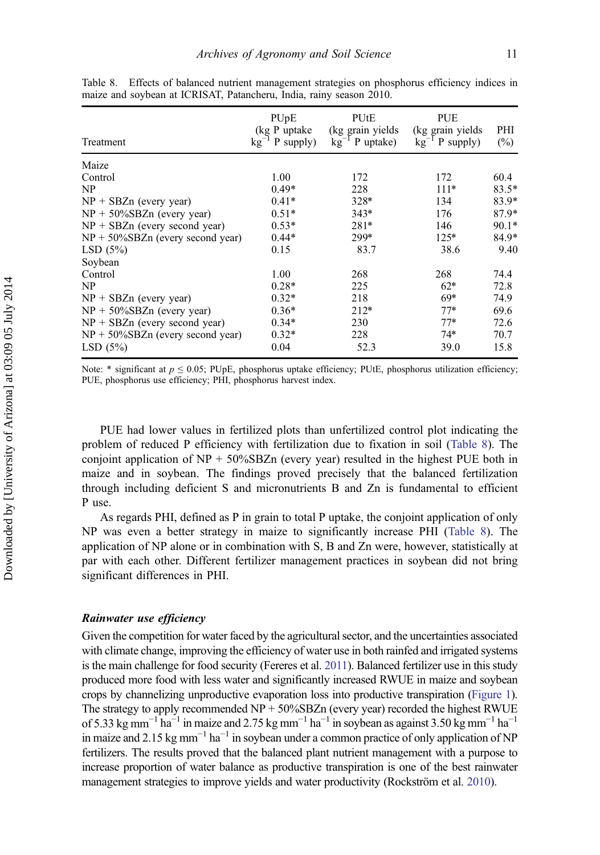| Treatment                            | PUpE<br>(kg P uptake<br>P supply)<br>kg | PUtE<br>(kg grain yields<br>$kg^{-1}$ P uptake) | <b>PUE</b><br>(kg grain yields<br>$kg^{-1}$ P supply) | PHI<br>$(\%)$ |
|--------------------------------------|-----------------------------------------|-------------------------------------------------|-------------------------------------------------------|---------------|
| Maize                                |                                         |                                                 |                                                       |               |
| Control                              | 1.00                                    | 172                                             | 172                                                   | 60.4          |
| NP                                   | $0.49*$                                 | 228                                             | $111*$                                                | $83.5*$       |
| $NP + SBZn$ (every year)             | $0.41*$                                 | 328*                                            | 134                                                   | 83.9*         |
| $NP + 50\%SBZn$ (every year)         | $0.51*$                                 | $343*$                                          | 176                                                   | $87.9*$       |
| $NP + SBZn$ (every second year)      | $0.53*$                                 | $281*$                                          | 146                                                   | $90.1*$       |
| $NP + 50\%SBZn$ (every second year)  | $0.44*$                                 | 299*                                            | $125*$                                                | 84.9*         |
| LSD $(5\%)$                          | 0.15                                    | 83.7                                            | 38.6                                                  | 9.40          |
| Soybean                              |                                         |                                                 |                                                       |               |
| Control                              | 1.00                                    | 268                                             | 268                                                   | 74.4          |
| NP                                   | $0.28*$                                 | 225                                             | $62*$                                                 | 72.8          |
| $NP + SBZn$ (every year)             | $0.32*$                                 | 218                                             | $69*$                                                 | 74.9          |
| $NP + 50\%SBZn$ (every year)         | $0.36*$                                 | $212*$                                          | $77*$                                                 | 69.6          |
| $NP + SBZn$ (every second year)      | $0.34*$                                 | 230                                             | $77*$                                                 | 72.6          |
| $NP + 50\%$ SBZn (every second year) | $0.32*$                                 | 228                                             | $74*$                                                 | 70.7          |
| LSD $(5\%)$                          | 0.04                                    | 52.3                                            | 39.0                                                  | 15.8          |

<span id="page-12-0"></span>Table 8. Effects of balanced nutrient management strategies on phosphorus efficiency indices in maize and soybean at ICRISAT, Patancheru, India, rainy season 2010.

Note: \* significant at  $p \le 0.05$ ; PUpE, phosphorus uptake efficiency; PUtE, phosphorus utilization efficiency; PUE, phosphorus use efficiency; PHI, phosphorus harvest index.

PUE had lower values in fertilized plots than unfertilized control plot indicating the problem of reduced P efficiency with fertilization due to fixation in soil (Table 8). The conjoint application of  $NP + 50\%SBZn$  (every year) resulted in the highest PUE both in maize and in soybean. The findings proved precisely that the balanced fertilization through including deficient S and micronutrients B and Zn is fundamental to efficient P use.

As regards PHI, defined as P in grain to total P uptake, the conjoint application of only NP was even a better strategy in maize to significantly increase PHI (Table 8). The application of NP alone or in combination with S, B and Zn were, however, statistically at par with each other. Different fertilizer management practices in soybean did not bring significant differences in PHI.

## Rainwater use efficiency

Given the competition for water faced by the agricultural sector, and the uncertainties associated with climate change, improving the efficiency of water use in both rainfed and irrigated systems is the main challenge for food security (Fereres et al. [2011\)](#page-14-0). Balanced fertilizer use in this study produced more food with less water and significantly increased RWUE in maize and soybean crops by channelizing unproductive evaporation loss into productive transpiration [\(Figure 1](#page-13-0)). The strategy to apply recommended NP + 50%SBZn (every year) recorded the highest RWUE of 5.33 kg mm<sup>-1</sup> ha<sup>-1</sup> in maize and 2.75 kg mm<sup>-1</sup> ha<sup>-1</sup> in soybean as against 3.50 kg mm<sup>-1</sup> ha<sup>-1</sup> in maize and 2.15 kg mm−<sup>1</sup> ha−<sup>1</sup> in soybean under a common practice of only application of NP fertilizers. The results proved that the balanced plant nutrient management with a purpose to increase proportion of water balance as productive transpiration is one of the best rainwater management strategies to improve yields and water productivity (Rockström et al. [2010](#page-15-0)).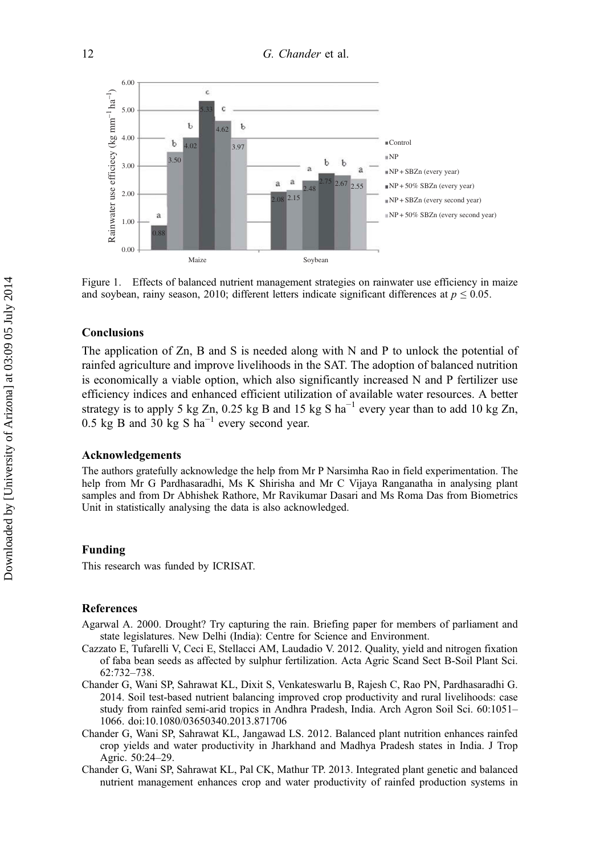<span id="page-13-0"></span>

Figure 1. Effects of balanced nutrient management strategies on rainwater use efficiency in maize and soybean, rainy season, 2010; different letters indicate significant differences at  $p \le 0.05$ .

## Conclusions

The application of Zn, B and S is needed along with N and P to unlock the potential of rainfed agriculture and improve livelihoods in the SAT. The adoption of balanced nutrition is economically a viable option, which also significantly increased N and P fertilizer use efficiency indices and enhanced efficient utilization of available water resources. A better strategy is to apply 5 kg Zn, 0.25 kg B and 15 kg S  $ha^{-1}$  every year than to add 10 kg Zn, 0.5 kg B and 30 kg S  $ha^{-1}$  every second year.

## Acknowledgements

The authors gratefully acknowledge the help from Mr P Narsimha Rao in field experimentation. The help from Mr G Pardhasaradhi, Ms K Shirisha and Mr C Vijaya Ranganatha in analysing plant samples and from Dr Abhishek Rathore, Mr Ravikumar Dasari and Ms Roma Das from Biometrics Unit in statistically analysing the data is also acknowledged.

#### Funding

This research was funded by ICRISAT.

## References

- Agarwal A. 2000. Drought? Try capturing the rain. Briefing paper for members of parliament and state legislatures. New Delhi (India): Centre for Science and Environment.
- Cazzato E, Tufarelli V, Ceci E, Stellacci AM, Laudadio V. 2012. Quality, yield and nitrogen fixation of faba bean seeds as affected by sulphur fertilization. Acta Agric Scand Sect B-Soil Plant Sci. 62:732–738.
- Chander G, Wani SP, Sahrawat KL, Dixit S, Venkateswarlu B, Rajesh C, Rao PN, Pardhasaradhi G. 2014. Soil test-based nutrient balancing improved crop productivity and rural livelihoods: case study from rainfed semi-arid tropics in Andhra Pradesh, India. Arch Agron Soil Sci. 60:1051– 1066. doi:10.1080/03650340.2013.871706
- Chander G, Wani SP, Sahrawat KL, Jangawad LS. 2012. Balanced plant nutrition enhances rainfed crop yields and water productivity in Jharkhand and Madhya Pradesh states in India. J Trop Agric. 50:24–29.
- Chander G, Wani SP, Sahrawat KL, Pal CK, Mathur TP. 2013. Integrated plant genetic and balanced nutrient management enhances crop and water productivity of rainfed production systems in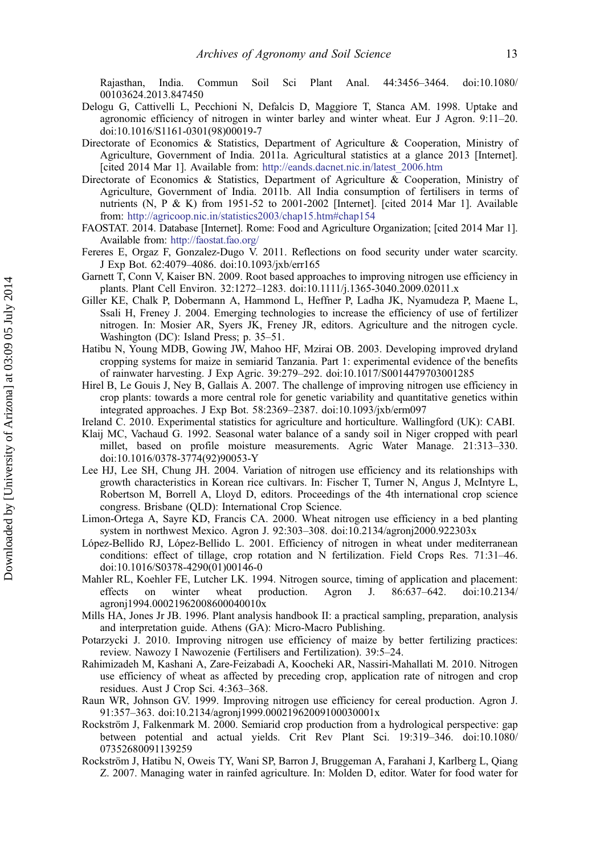<span id="page-14-0"></span>Rajasthan, India. Commun Soil Sci Plant Anal. 44:3456–3464. doi:10.1080/ 00103624.2013.847450

- Delogu G, Cattivelli L, Pecchioni N, Defalcis D, Maggiore T, Stanca AM. 1998. Uptake and agronomic efficiency of nitrogen in winter barley and winter wheat. Eur J Agron. 9:11–20. doi:10.1016/S1161-0301(98)00019-7
- Directorate of Economics & Statistics, Department of Agriculture & Cooperation, Ministry of Agriculture, Government of India. 2011a. Agricultural statistics at a glance 2013 [Internet]. [cited 2014 Mar 1]. Available from: [http://eands.dacnet.nic.in/latest\\_2006.htm](http://eands.dacnet.nic.in/latest_2006.htm)
- Directorate of Economics & Statistics, Department of Agriculture & Cooperation, Ministry of Agriculture, Government of India. 2011b. All India consumption of fertilisers in terms of nutrients (N, P & K) from 1951-52 to 2001-2002 [Internet]. [cited 2014 Mar 1]. Available from: <http://agricoop.nic.in/statistics2003/chap15.htm#chap154>
- FAOSTAT. 2014. Database [Internet]. Rome: Food and Agriculture Organization; [cited 2014 Mar 1]. Available from: <http://faostat.fao.org/>
- Fereres E, Orgaz F, Gonzalez-Dugo V. 2011. Reflections on food security under water scarcity. J Exp Bot. 62:4079–4086. doi:10.1093/jxb/err165
- Garnett T, Conn V, Kaiser BN. 2009. Root based approaches to improving nitrogen use efficiency in plants. Plant Cell Environ. 32:1272–1283. doi:10.1111/j.1365-3040.2009.02011.x
- Giller KE, Chalk P, Dobermann A, Hammond L, Heffner P, Ladha JK, Nyamudeza P, Maene L, Ssali H, Freney J. 2004. Emerging technologies to increase the efficiency of use of fertilizer nitrogen. In: Mosier AR, Syers JK, Freney JR, editors. Agriculture and the nitrogen cycle. Washington (DC): Island Press; p. 35–51.
- Hatibu N, Young MDB, Gowing JW, Mahoo HF, Mzirai OB. 2003. Developing improved dryland cropping systems for maize in semiarid Tanzania. Part 1: experimental evidence of the benefits of rainwater harvesting. J Exp Agric. 39:279–292. doi:10.1017/S0014479703001285
- Hirel B, Le Gouis J, Ney B, Gallais A. 2007. The challenge of improving nitrogen use efficiency in crop plants: towards a more central role for genetic variability and quantitative genetics within integrated approaches. J Exp Bot. 58:2369–2387. doi:10.1093/jxb/erm097
- Ireland C. 2010. Experimental statistics for agriculture and horticulture. Wallingford (UK): CABI.
- Klaij MC, Vachaud G. 1992. Seasonal water balance of a sandy soil in Niger cropped with pearl millet, based on profile moisture measurements. Agric Water Manage. 21:313–330. doi:10.1016/0378-3774(92)90053-Y
- Lee HJ, Lee SH, Chung JH. 2004. Variation of nitrogen use efficiency and its relationships with growth characteristics in Korean rice cultivars. In: Fischer T, Turner N, Angus J, McIntyre L, Robertson M, Borrell A, Lloyd D, editors. Proceedings of the 4th international crop science congress. Brisbane (QLD): International Crop Science.
- Limon-Ortega A, Sayre KD, Francis CA. 2000. Wheat nitrogen use efficiency in a bed planting system in northwest Mexico. Agron J. 92:303–308. doi:10.2134/agronj2000.922303x
- López-Bellido RJ, López-Bellido L. 2001. Efficiency of nitrogen in wheat under mediterranean conditions: effect of tillage, crop rotation and N fertilization. Field Crops Res. 71:31–46. doi:10.1016/S0378-4290(01)00146-0
- Mahler RL, Koehler FE, Lutcher LK. 1994. Nitrogen source, timing of application and placement: effects on winter wheat production. Agron J. 86:637–642. doi:10.2134/ agronj1994.00021962008600040010x
- Mills HA, Jones Jr JB. 1996. Plant analysis handbook II: a practical sampling, preparation, analysis and interpretation guide. Athens (GA): Micro-Macro Publishing.
- Potarzycki J. 2010. Improving nitrogen use efficiency of maize by better fertilizing practices: review. Nawozy I Nawozenie (Fertilisers and Fertilization). 39:5–24.
- Rahimizadeh M, Kashani A, Zare-Feizabadi A, Koocheki AR, Nassiri-Mahallati M. 2010. Nitrogen use efficiency of wheat as affected by preceding crop, application rate of nitrogen and crop residues. Aust J Crop Sci. 4:363–368.
- Raun WR, Johnson GV. 1999. Improving nitrogen use efficiency for cereal production. Agron J. 91:357–363. doi:10.2134/agronj1999.00021962009100030001x
- Rockström J, Falkenmark M. 2000. Semiarid crop production from a hydrological perspective: gap between potential and actual yields. Crit Rev Plant Sci. 19:319–346. doi:10.1080/ 07352680091139259
- Rockström J, Hatibu N, Oweis TY, Wani SP, Barron J, Bruggeman A, Farahani J, Karlberg L, Qiang Z. 2007. Managing water in rainfed agriculture. In: Molden D, editor. Water for food water for